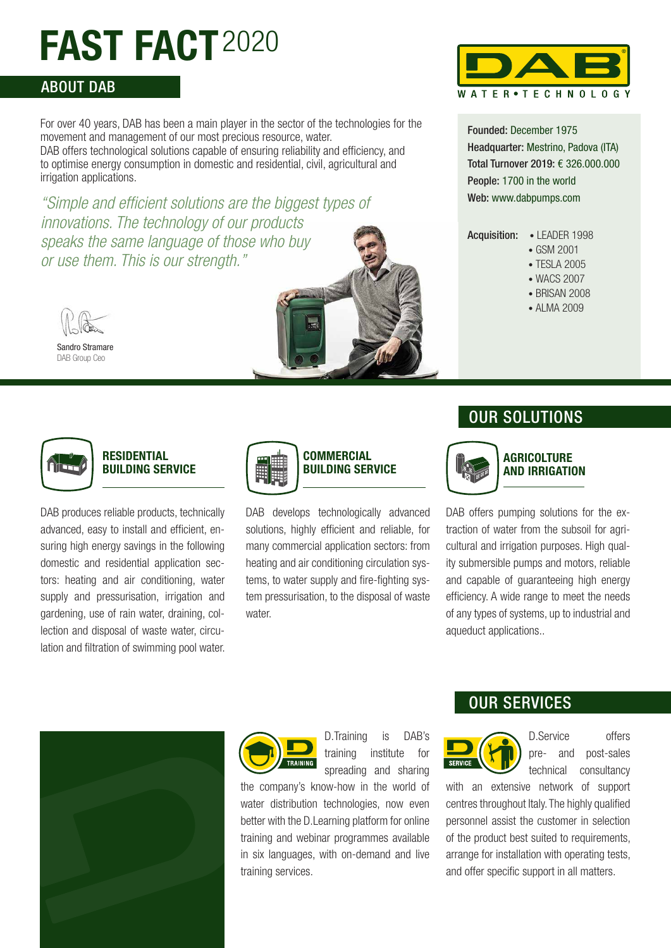# **FAST FACT**2020

## ABOUT DAB

For over 40 years, DAB has been a main player in the sector of the technologies for the movement and management of our most precious resource, water. DAB offers technological solutions capable of ensuring reliability and efficiency, and to optimise energy consumption in domestic and residential, civil, agricultural and irrigation applications.

*"Simple and efficient solutions are the biggest types of innovations. The technology of our products speaks the same language of those who buy or use them. This is our strength."*





Sandro Stramare DAB Group Ceo



#### **RESIDENTIAL BUILDING SERVICE**

DAB produces reliable products, technically advanced, easy to install and efficient, ensuring high energy savings in the following domestic and residential application sectors: heating and air conditioning, water supply and pressurisation, irrigation and gardening, use of rain water, draining, collection and disposal of waste water, circulation and filtration of swimming pool water.



# **COMMERCIAL BUILDING SERVICE**

DAB develops technologically advanced solutions, highly efficient and reliable, for many commercial application sectors: from heating and air conditioning circulation systems, to water supply and fire-fighting system pressurisation, to the disposal of waste water



Founded: December 1975 Headquarter: Mestrino, Padova (ITA) Total Turnover 2019: € 326.000.000 People: 1700 in the world Web: www.dabpumps.com

Acquisition: • LEADER 1998

- - GSM 2001
	- TESLA 2005 • WACS 2007
	-
	- BRISAN 2008
	- ALMA 2009

# OUR SOLUTIONS



#### **AGRICOLTURE AND IRRIGATION**

DAB offers pumping solutions for the extraction of water from the subsoil for agricultural and irrigation purposes. High quality submersible pumps and motors, reliable and capable of guaranteeing high energy efficiency. A wide range to meet the needs of any types of systems, up to industrial and aqueduct applications..





D.Training is DAB's training institute for spreading and sharing

the company's know-how in the world of water distribution technologies, now even better with the D.Learning platform for online training and webinar programmes available in six languages, with on-demand and live training services.

# OUR SERVICES



D.Service offers pre- and post-sales technical consultancy

with an extensive network of support centres throughout Italy. The highly qualified personnel assist the customer in selection of the product best suited to requirements, arrange for installation with operating tests, and offer specific support in all matters.